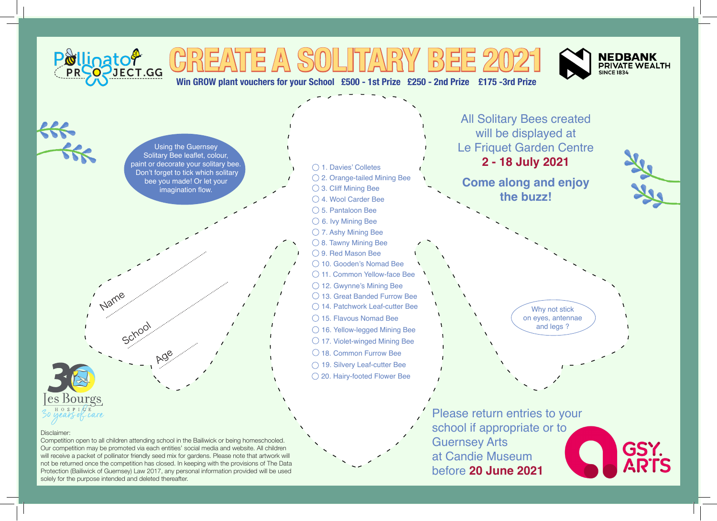

not be returned once the competition has closed. In keeping with the provisions of The Data Protection (Bailiwick of Guernsey) Law 2017, any personal information provided will be used solely for the purpose intended and deleted thereafter.

at Candie Museum before **20 June 2021**